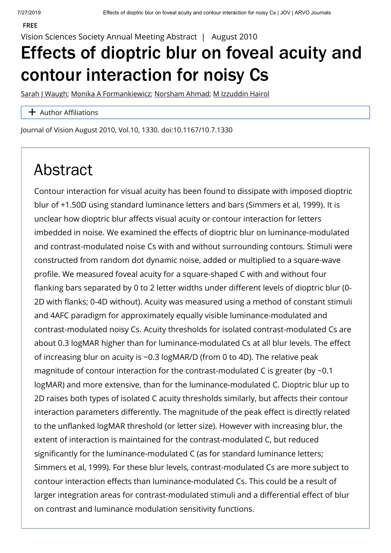Vision Sciences Society Annual Meeting Abstract | August 2010

## Effects of dioptric blur on foveal acuity and contour interaction for noisy Cs

[Sarah J Waugh](https://jov.arvojournals.org/solr/searchresults.aspx?author=Sarah+J+Waugh); [Monika A Formankiewicz](https://jov.arvojournals.org/solr/searchresults.aspx?author=Monika+A+Formankiewicz); [Norsham Ahmad](https://jov.arvojournals.org/solr/searchresults.aspx?author=Norsham+Ahmad); [M Izzuddin Hairol](https://jov.arvojournals.org/solr/searchresults.aspx?author=M+Izzuddin+Hairol)

## $+$  Author Affiliations

Journal of Vision August 2010, Vol.10, 1330. doi:10.1167/10.7.1330

## Abstract

Contour interaction for visual acuity has been found to dissipate with imposed dioptric blur of +1.50D using standard luminance letters and bars (Simmers et al, 1999). It is unclear how dioptric blur affects visual acuity or contour interaction for letters imbedded in noise. We examined the effects of dioptric blur on luminance-modulated and contrast-modulated noise Cs with and without surrounding contours. Stimuli were constructed from random dot dynamic noise, added or multiplied to a square-wave profile. We measured foveal acuity for a square-shaped C with and without four flanking bars separated by 0 to 2 letter widths under different levels of dioptric blur (0-2D with flanks; 0-4D without). Acuity was measured using a method of constant stimuli and 4AFC paradigm for approximately equally visible luminance-modulated and contrast-modulated noisy Cs. Acuity thresholds for isolated contrast-modulated Cs are about 0.3 logMAR higher than for luminance-modulated Cs at all blur levels. The effect of increasing blur on acuity is ~0.3 logMAR/D (from 0 to 4D). The relative peak magnitude of contour interaction for the contrast-modulated C is greater (by ~0.1 logMAR) and more extensive, than for the luminance-modulated C. Dioptric blur up to 2D raises both types of isolated C acuity thresholds similarly, but affects their contour interaction parameters differently. The magnitude of the peak effect is directly related to the unflanked logMAR threshold (or letter size). However with increasing blur, the extent of interaction is maintained for the contrast-modulated C, but reduced significantly for the luminance-modulated C (as for standard luminance letters; Simmers et al, 1999). For these blur levels, contrast-modulated Cs are more subject to contour interaction effects than luminance-modulated Cs. This could be a result of larger integration areas for contrast-modulated stimuli and a differential effect of blur on contrast and luminance modulation sensitivity functions.